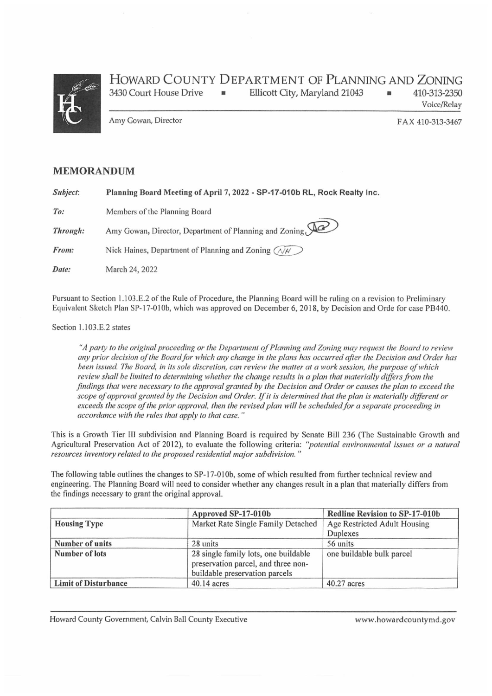

## HOWARD COUNTY DEPARTMENT OF PLANNING AND ZONING 3430 Court House Drive • Ellicott City, Maryland 21043 • 410-313-2350

Voice/Relay

Amy Gowan, Director **FAX 410-313-3467** 

## MEMORANDUM

Subject: Planning Board Meeting of April 7, 2022 - SP-17-010b RL, Rock Realty Inc.

To: Members of the Planning Board

**Through:** Amy Gowan, Director, Department of Planning and Zoning,  $\mathcal{Q}$ 

From: Nick Haines, Department of Planning and Zoning  $\widehat{A/H}$ 

Date: March 24, 2022

Pursuant to Section 1.103.E.2 of the Rule of Procedure, the Planning Board will be ruling on a revision to Preliminary Equivalent Sketch Plan SP-17-010b, which was approved on December 6, 2018, by Decision and Orde for case PB440.

## Section 1.103.E.2 states

"A party to the original proceeding or the Department of Planning and Zoning may request the Board to review any prior decision of the Board for which any change in the plans has occurred after the Decision and Order has been issued. The Board, in its sole discretion, can review' the matter at a work session, the purpose ofwhich review shall be limited to determining whether the change results in a plan that materially differs from the findings that were necessary to the approval granted by the Decision and Order or causes the plan to exceed the scope of approval granted by the Decision and Order. If it is determined that the plan is materially different or exceeds the scope of the prior approval, then the revised plan will be scheduled for a separate proceeding in accordance with the rules that apply to that case."

This is a Growth Tier III subdivision and Planning Board is required by Senate Bill 236 (The Sustainable Growth and Agricultural Preservation Act of 2012), to evaluate the following criteria: "potential environmental issues or a natural resources inventory related to the proposed residential major subdivision. "

The following table outlines the changes to SP-17-010b, some of which resulted from further technical review and engineering. The Planning Board will need to consider whether any changes result in a plan that materially differs from the findings necessary to grant the original approval.

|                             | Approved SP-17-010b                                                                                           | Redline Revision to SP-17-010b |
|-----------------------------|---------------------------------------------------------------------------------------------------------------|--------------------------------|
| <b>Housing Type</b>         | Market Rate Single Family Detached                                                                            | Age Restricted Adult Housing   |
|                             |                                                                                                               | Duplexes                       |
| Number of units             | 28 units                                                                                                      | 56 units                       |
| Number of lots              | 28 single family lots, one buildable<br>preservation parcel, and three non-<br>buildable preservation parcels | one buildable bulk parcel      |
| <b>Limit of Disturbance</b> | $40.14$ acres                                                                                                 | $40.27$ acres                  |